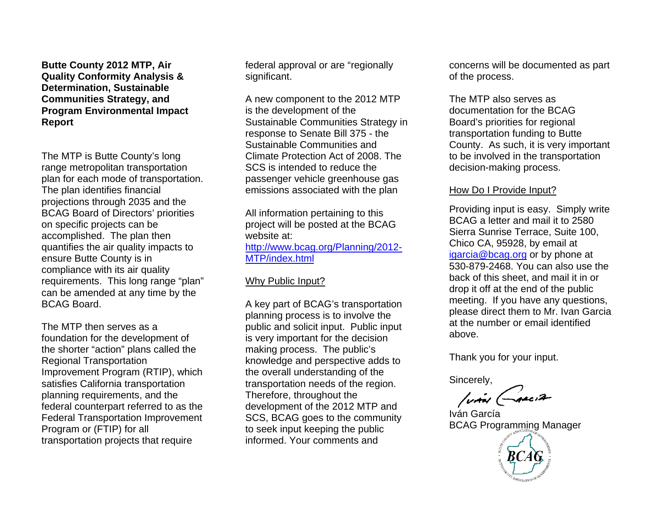**Butte County 2012 MTP, Air Quality Conformity Analysis & Determination, Sustainable Communities Strategy, and Program Environmental Impact Report** 

The MTP is Butte County's long range metropolitan transportation plan for each mode of transportation. The plan identifies financial projections through 2035 and the BCAG Board of Directors' priorities on specific projects can be accomplished. The plan then quantifies the air quality impacts to ensure Butte County is in compliance with its air quality requirements. This long range "plan" can be amended at any time by the BCAG Board.

The MTP then serves as a foundation for the development of the shorter "action" plans called the Regional Transportation Improvement Program (RTIP), which satisfies California transportation planning requirements, and the federal counterpart referred to as the Federal Transportation Improvement Program or (FTIP) for all transportation projects that require

federal approval or are "regionally significant.

A new component to the 2012 MTP is the development of the Sustainable Communities Strategy in response to Senate Bill 375 - the Sustainable Communities and Climate Protection Act of 2008. The SCS is intended to reduce the passenger vehicle greenhouse gas emissions associated with the plan

All information pertaining to this project will be posted at the BCAG website at: [http://www.bcag.org/Planning/2012-](http://www.bcag.org/Planning/2012-MTP/index.html) [MTP/index.html](http://www.bcag.org/Planning/2012-MTP/index.html)

# Why Public Input?

A key part of BCAG's transportation planning process is to involve the public and solicit input. Public input is very important for the decision making process. The public's knowledge and perspective adds to the overall understanding of the transportation needs of the region. Therefore, throughout the development of the 2012 MTP and SCS, BCAG goes to the community to seek input keeping the public informed. Your comments and

concerns will be documented as part of the process.

The MTP also serves as documentation for the BCAG Board's priorities for regional transportation funding to Butte County. As such, it is very important to be involved in the transportation decision-making process.

# How Do I Provide Input?

Providing input is easy. Simply write BCAG a letter and mail it to 2580 Sierra Sunrise Terrace, Suite 100, Chico CA, 95928, by email at [igarcia@bcag.org](mailto:igarcia@bcag.org) or by phone at 530-879-2468. You can also use the back of this sheet, and mail it in or drop it off at the end of the public meeting. If you have any questions, please direct them to Mr. Ivan Garcia at the number or email identified above.

Thank you for your input.

Sincerely,

**/via (ARCIA** 

Iván García BCAG Programming Manager